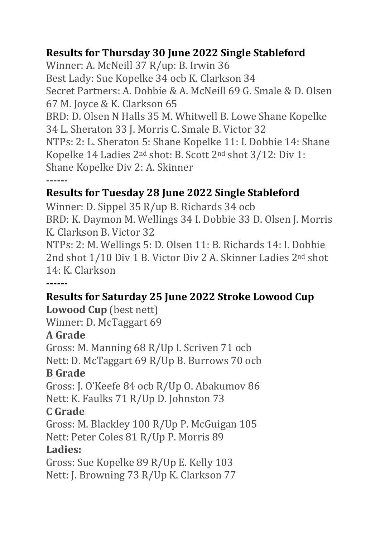## **Results for Thursday 30 June 2022 Single Stableford**

Winner: A. McNeill 37 R/up: B. Irwin 36 Best Lady: Sue Kopelke 34 ocb K. Clarkson 34 Secret Partners: A. Dobbie & A. McNeill 69 G. Smale & D. Olsen 67 M. Joyce & K. Clarkson 65 BRD: D. Olsen N Halls 35 M. Whitwell B. Lowe Shane Kopelke 34 L. Sheraton 33 J. Morris C. Smale B. Victor 32 NTPs: 2: L. Sheraton 5: Shane Kopelke 11: I. Dobbie 14: Shane Kopelke 14 Ladies 2nd shot: B. Scott 2nd shot 3/12: Div 1: Shane Kopelke Div 2: A. Skinner **------**

## **Results for Tuesday 28 June 2022 Single Stableford**

Winner: D. Sippel 35 R/up B. Richards 34 ocb BRD: K. Daymon M. Wellings 34 I. Dobbie 33 D. Olsen J. Morris K. Clarkson B. Victor 32

NTPs: 2: M. Wellings 5: D. Olsen 11: B. Richards 14: I. Dobbie 2nd shot 1/10 Div 1 B. Victor Div 2 A. Skinner Ladies 2nd shot 14: K. Clarkson

**------**

## **Results for Saturday 25 June 2022 Stroke Lowood Cup**

**Lowood Cup** (best nett) Winner: D. McTaggart 69

# **A Grade**

Gross: M. Manning 68 R/Up I. Scriven 71 ocb Nett: D. McTaggart 69 R/Up B. Burrows 70 ocb

## **B Grade**

Gross: J. O'Keefe 84 ocb R/Up O. Abakumov 86 Nett: K. Faulks 71 R/Up D. Johnston 73

#### **C Grade**

Gross: M. Blackley 100 R/Up P. McGuigan 105 Nett: Peter Coles 81 R/Up P. Morris 89

#### **Ladies:**

Gross: Sue Kopelke 89 R/Up E. Kelly 103 Nett: J. Browning 73 R/Up K. Clarkson 77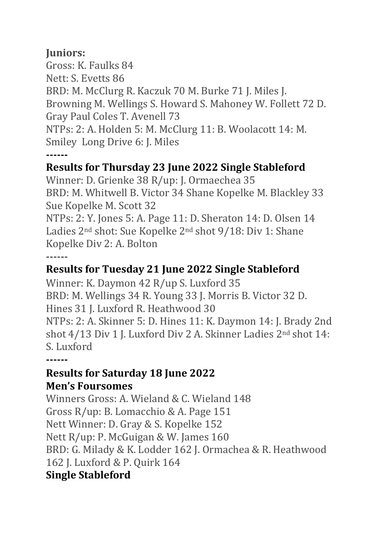#### **Juniors:**

Gross: K. Faulks 84 Nett: S. Evetts 86 BRD: M. McClurg R. Kaczuk 70 M. Burke 71 J. Miles J. Browning M. Wellings S. Howard S. Mahoney W. Follett 72 D. Gray Paul Coles T. Avenell 73 NTPs: 2: A. Holden 5: M. McClurg 11: B. Woolacott 14: M. Smiley Long Drive 6: J. Miles **------**

#### **Results for Thursday 23 June 2022 Single Stableford**

Winner: D. Grienke 38 R/up: J. Ormaechea 35 BRD: M. Whitwell B. Victor 34 Shane Kopelke M. Blackley 33 Sue Kopelke M. Scott 32 NTPs: 2: Y. Jones 5: A. Page 11: D. Sheraton 14: D. Olsen 14 Ladies 2nd shot: Sue Kopelke 2nd shot 9/18: Div 1: Shane Kopelke Div 2: A. Bolton **------**

# **Results for Tuesday 21 June 2022 Single Stableford**

Winner: K. Daymon 42 R/up S. Luxford 35 BRD: M. Wellings 34 R. Young 33 J. Morris B. Victor 32 D. Hines 31 J. Luxford R. Heathwood 30 NTPs: 2: A. Skinner 5: D. Hines 11: K. Daymon 14: J. Brady 2nd shot 4/13 Div 1 J. Luxford Div 2 A. Skinner Ladies 2nd shot 14: S. Luxford

**------**

#### **Results for Saturday 18 June 2022 Men's Foursomes**

Winners Gross: A. Wieland & C. Wieland 148 Gross R/up: B. Lomacchio & A. Page 151 Nett Winner: D. Gray & S. Kopelke 152 Nett R/up: P. McGuigan & W. James 160 BRD: G. Milady & K. Lodder 162 J. Ormachea & R. Heathwood 162 J. Luxford & P. Quirk 164 **Single Stableford**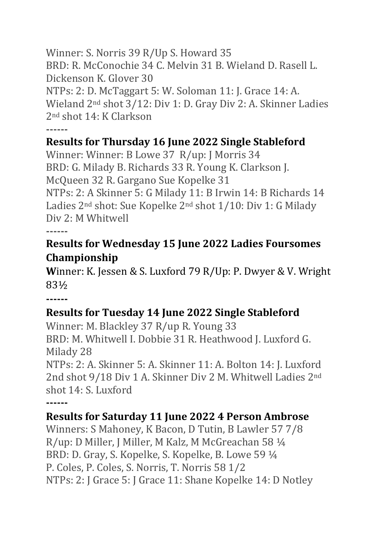Winner: S. Norris 39 R/Up S. Howard 35 BRD: R. McConochie 34 C. Melvin 31 B. Wieland D. Rasell L. Dickenson K. Glover 30 NTPs: 2: D. McTaggart 5: W. Soloman 11: J. Grace 14: A. Wieland 2nd shot 3/12: Div 1: D. Gray Div 2: A. Skinner Ladies 2nd shot 14: K Clarkson **------**

## **Results for Thursday 16 June 2022 Single Stableford**

Winner: Winner: B Lowe 37 R/up: J Morris 34 BRD: G. Milady B. Richards 33 R. Young K. Clarkson J. McQueen 32 R. Gargano Sue Kopelke 31 NTPs: 2: A Skinner 5: G Milady 11: B Irwin 14: B Richards 14

Ladies 2nd shot: Sue Kopelke 2nd shot 1/10: Div 1: G Milady Div 2: M Whitwell

**------**

## **Results for Wednesday 15 June 2022 Ladies Foursomes Championship**

**W**inner: K. Jessen & S. Luxford 79 R/Up: P. Dwyer & V. Wright 83½

**------**

# **Results for Tuesday 14 June 2022 Single Stableford**

Winner: M. Blackley 37 R/up R. Young 33 BRD: M. Whitwell I. Dobbie 31 R. Heathwood J. Luxford G. Milady 28 NTPs: 2: A. Skinner 5: A. Skinner 11: A. Bolton 14: J. Luxford 2nd shot 9/18 Div 1 A. Skinner Div 2 M. Whitwell Ladies 2nd

shot 14: S. Luxford

**------**

# **Results for Saturday 11 June 2022 4 Person Ambrose**

Winners: S Mahoney, K Bacon, D Tutin, B Lawler 57 7/8 R/up: D Miller, J Miller, M Kalz, M McGreachan 58 ¼ BRD: D. Gray, S. Kopelke, S. Kopelke, B. Lowe 59 ¼ P. Coles, P. Coles, S. Norris, T. Norris 58 1/2 NTPs: 2: J Grace 5: J Grace 11: Shane Kopelke 14: D Notley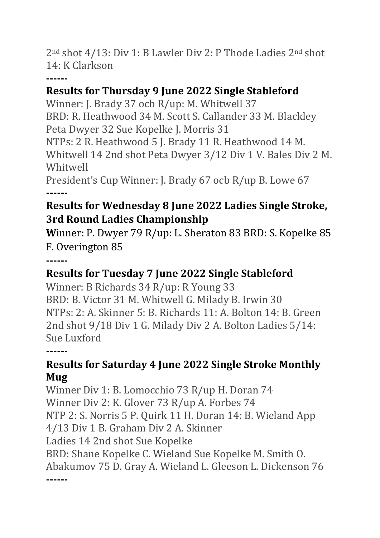2nd shot 4/13: Div 1: B Lawler Div 2: P Thode Ladies 2nd shot 14: K Clarkson

**------**

## **Results for Thursday 9 June 2022 Single Stableford**

Winner: J. Brady 37 ocb R/up: M. Whitwell 37 BRD: R. Heathwood 34 M. Scott S. Callander 33 M. Blackley Peta Dwyer 32 Sue Kopelke J. Morris 31 NTPs: 2 R. Heathwood 5 J. Brady 11 R. Heathwood 14 M. Whitwell 14 2nd shot Peta Dwyer 3/12 Div 1 V. Bales Div 2 M. Whitwell President's Cup Winner: J. Brady 67 ocb R/up B. Lowe 67

**------**

## **Results for Wednesday 8 June 2022 Ladies Single Stroke, 3rd Round Ladies Championship**

**W**inner: P. Dwyer 79 R/up: L. Sheraton 83 BRD: S. Kopelke 85 F. Overington 85

**------**

# **Results for Tuesday 7 June 2022 Single Stableford**

Winner: B Richards 34 R/up: R Young 33 BRD: B. Victor 31 M. Whitwell G. Milady B. Irwin 30 NTPs: 2: A. Skinner 5: B. Richards 11: A. Bolton 14: B. Green 2nd shot 9/18 Div 1 G. Milady Div 2 A. Bolton Ladies 5/14: Sue Luxford

**------**

## **Results for Saturday 4 June 2022 Single Stroke Monthly Mug**

Winner Div 1: B. Lomocchio 73 R/up H. Doran 74 Winner Div 2: K. Glover 73 R/up A. Forbes 74 NTP 2: S. Norris 5 P. Quirk 11 H. Doran 14: B. Wieland App 4/13 Div 1 B. Graham Div 2 A. Skinner Ladies 14 2nd shot Sue Kopelke BRD: Shane Kopelke C. Wieland Sue Kopelke M. Smith O. Abakumov 75 D. Gray A. Wieland L. Gleeson L. Dickenson 76 **------**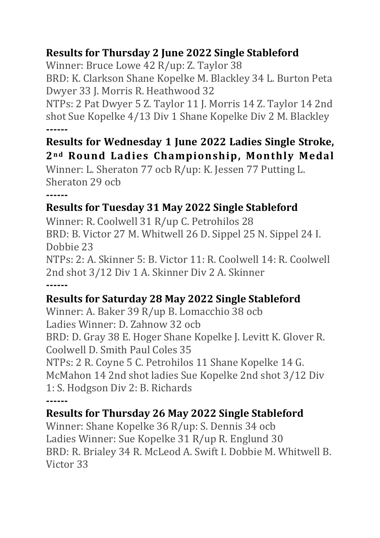## **Results for Thursday 2 June 2022 Single Stableford**

Winner: Bruce Lowe 42 R/up: Z. Taylor 38

BRD: K. Clarkson Shane Kopelke M. Blackley 34 L. Burton Peta Dwyer 33 J. Morris R. Heathwood 32

NTPs: 2 Pat Dwyer 5 Z. Taylor 11 J. Morris 14 Z. Taylor 14 2nd shot Sue Kopelke 4/13 Div 1 Shane Kopelke Div 2 M. Blackley **------**

# **Results for Wednesday 1 June 2022 Ladies Single Stroke, 2n d Round Ladies Championship, Monthly Medal**

Winner: L. Sheraton 77 ocb R/up: K. Jessen 77 Putting L. Sheraton 29 ocb

# **------**

## **Results for Tuesday 31 May 2022 Single Stableford**

Winner: R. Coolwell 31 R/up C. Petrohilos 28 BRD: B. Victor 27 M. Whitwell 26 D. Sippel 25 N. Sippel 24 I. Dobbie 23 NTPs: 2: A. Skinner 5: B. Victor 11: R. Coolwell 14: R. Coolwell 2nd shot 3/12 Div 1 A. Skinner Div 2 A. Skinner **------**

## **Results for Saturday 28 May 2022 Single Stableford**

Winner: A. Baker 39 R/up B. Lomacchio 38 ocb Ladies Winner: D. Zahnow 32 ocb BRD: D. Gray 38 E. Hoger Shane Kopelke J. Levitt K. Glover R. Coolwell D. Smith Paul Coles 35 NTPs: 2 R. Coyne 5 C. Petrohilos 11 Shane Kopelke 14 G. McMahon 14 2nd shot ladies Sue Kopelke 2nd shot 3/12 Div 1: S. Hodgson Div 2: B. Richards **------**

#### **Results for Thursday 26 May 2022 Single Stableford**

Winner: Shane Kopelke 36 R/up: S. Dennis 34 ocb Ladies Winner: Sue Kopelke 31 R/up R. Englund 30 BRD: R. Brialey 34 R. McLeod A. Swift I. Dobbie M. Whitwell B. Victor 33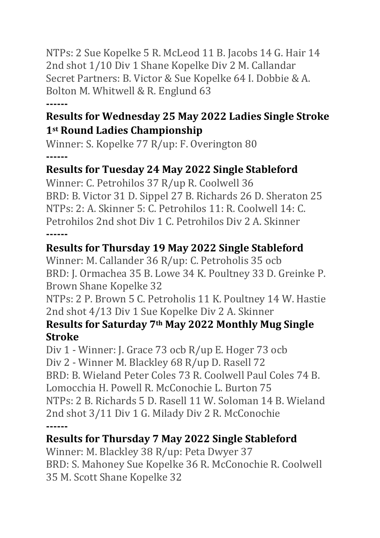NTPs: 2 Sue Kopelke 5 R. McLeod 11 B. Jacobs 14 G. Hair 14 2nd shot 1/10 Div 1 Shane Kopelke Div 2 M. Callandar Secret Partners: B. Victor & Sue Kopelke 64 I. Dobbie & A. Bolton M. Whitwell & R. Englund 63

#### **------**

#### **Results for Wednesday 25 May 2022 Ladies Single Stroke 1st Round Ladies Championship**

Winner: S. Kopelke 77 R/up: F. Overington 80 **------**

#### **Results for Tuesday 24 May 2022 Single Stableford**

Winner: C. Petrohilos 37 R/up R. Coolwell 36 BRD: B. Victor 31 D. Sippel 27 B. Richards 26 D. Sheraton 25 NTPs: 2: A. Skinner 5: C. Petrohilos 11: R. Coolwell 14: C. Petrohilos 2nd shot Div 1 C. Petrohilos Div 2 A. Skinner **------**

## **Results for Thursday 19 May 2022 Single Stableford**

Winner: M. Callander 36 R/up: C. Petroholis 35 ocb BRD: J. Ormachea 35 B. Lowe 34 K. Poultney 33 D. Greinke P. Brown Shane Kopelke 32

NTPs: 2 P. Brown 5 C. Petroholis 11 K. Poultney 14 W. Hastie 2nd shot 4/13 Div 1 Sue Kopelke Div 2 A. Skinner

#### **Results for Saturday 7th May 2022 Monthly Mug Single Stroke**

Div 1 - Winner: J. Grace 73 ocb R/up E. Hoger 73 ocb Div 2 - Winner M. Blackley 68 R/up D. Rasell 72 BRD: B. Wieland Peter Coles 73 R. Coolwell Paul Coles 74 B. Lomocchia H. Powell R. McConochie L. Burton 75 NTPs: 2 B. Richards 5 D. Rasell 11 W. Soloman 14 B. Wieland 2nd shot 3/11 Div 1 G. Milady Div 2 R. McConochie **------**

#### **Results for Thursday 7 May 2022 Single Stableford**

Winner: M. Blackley 38 R/up: Peta Dwyer 37 BRD: S. Mahoney Sue Kopelke 36 R. McConochie R. Coolwell 35 M. Scott Shane Kopelke 32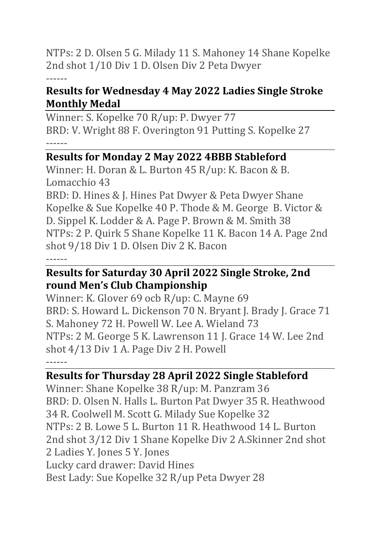NTPs: 2 D. Olsen 5 G. Milady 11 S. Mahoney 14 Shane Kopelke 2nd shot 1/10 Div 1 D. Olsen Div 2 Peta Dwyer

------

#### **Results for Wednesday 4 May 2022 Ladies Single Stroke Monthly Medal**

Winner: S. Kopelke 70 R/up: P. Dwyer 77 BRD: V. Wright 88 F. Overington 91 Putting S. Kopelke 27 ------

#### **Results for Monday 2 May 2022 4BBB Stableford**

Winner: H. Doran & L. Burton 45 R/up: K. Bacon & B. Lomacchio 43

BRD: D. Hines & J. Hines Pat Dwyer & Peta Dwyer Shane Kopelke & Sue Kopelke 40 P. Thode & M. George B. Victor & D. Sippel K. Lodder & A. Page P. Brown & M. Smith 38 NTPs: 2 P. Quirk 5 Shane Kopelke 11 K. Bacon 14 A. Page 2nd shot 9/18 Div 1 D. Olsen Div 2 K. Bacon ------

#### **Results for Saturday 30 April 2022 Single Stroke, 2nd round Men's Club Championship**

Winner: K. Glover 69 ocb R/up: C. Mayne 69 BRD: S. Howard L. Dickenson 70 N. Bryant J. Brady J. Grace 71 S. Mahoney 72 H. Powell W. Lee A. Wieland 73 NTPs: 2 M. George 5 K. Lawrenson 11 J. Grace 14 W. Lee 2nd shot 4/13 Div 1 A. Page Div 2 H. Powell ------

#### **Results for Thursday 28 April 2022 Single Stableford**

Winner: Shane Kopelke 38 R/up: M. Panzram 36 BRD: D. Olsen N. Halls L. Burton Pat Dwyer 35 R. Heathwood 34 R. Coolwell M. Scott G. Milady Sue Kopelke 32 NTPs: 2 B. Lowe 5 L. Burton 11 R. Heathwood 14 L. Burton 2nd shot 3/12 Div 1 Shane Kopelke Div 2 A.Skinner 2nd shot 2 Ladies Y. Jones 5 Y. Jones Lucky card drawer: David Hines Best Lady: Sue Kopelke 32 R/up Peta Dwyer 28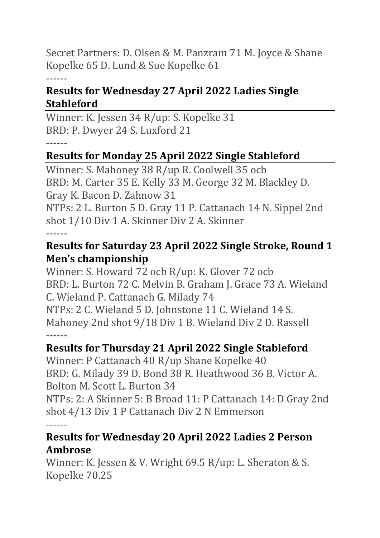Secret Partners: D. Olsen & M. Panzram 71 M. Joyce & Shane Kopelke 65 D. Lund & Sue Kopelke 61

#### ------

#### **Results for Wednesday 27 April 2022 Ladies Single Stableford**

Winner: K. Jessen 34 R/up: S. Kopelke 31 BRD: P. Dwyer 24 S. Luxford 21

#### ------

## **Results for Monday 25 April 2022 Single Stableford**

Winner: S. Mahoney 38 R/up R. Coolwell 35 ocb BRD: M. Carter 35 E. Kelly 33 M. George 32 M. Blackley D. Gray K. Bacon D. Zahnow 31

NTPs: 2 L. Burton 5 D. Gray 11 P. Cattanach 14 N. Sippel 2nd shot 1/10 Div 1 A. Skinner Div 2 A. Skinner ------

#### **Results for Saturday 23 April 2022 Single Stroke, Round 1 Men's championship**

Winner: S. Howard 72 ocb R/up: K. Glover 72 ocb BRD: L. Burton 72 C. Melvin B. Graham J. Grace 73 A. Wieland C. Wieland P. Cattanach G. Milady 74 NTPs: 2 C. Wieland 5 D. Johnstone 11 C. Wieland 14 S. Mahoney 2nd shot 9/18 Div 1 B. Wieland Div 2 D. Rassell ------

#### **Results for Thursday 21 April 2022 Single Stableford**

Winner: P Cattanach 40 R/up Shane Kopelke 40 BRD: G. Milady 39 D. Bond 38 R. Heathwood 36 B. Victor A. Bolton M. Scott L. Burton 34

NTPs: 2: A Skinner 5: B Broad 11: P Cattanach 14: D Gray 2nd shot 4/13 Div 1 P Cattanach Div 2 N Emmerson ------

#### **Results for Wednesday 20 April 2022 Ladies 2 Person Ambrose**

Winner: K. Jessen & V. Wright 69.5 R/up: L. Sheraton & S. Kopelke 70.25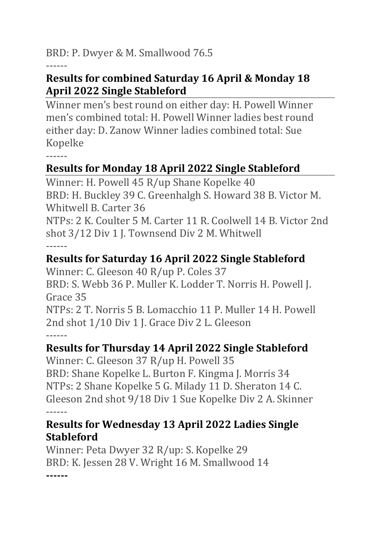BRD: P. Dwyer & M. Smallwood 76.5

------

#### **Results for combined Saturday 16 April & Monday 18 April 2022 Single Stableford**

Winner men's best round on either day: H. Powell Winner men's combined total: H. Powell Winner ladies best round either day: D. Zanow Winner ladies combined total: Sue Kopelke

------

# **Results for Monday 18 April 2022 Single Stableford**

Winner: H. Powell 45 R/up Shane Kopelke 40 BRD: H. Buckley 39 C. Greenhalgh S. Howard 38 B. Victor M. Whitwell B. Carter 36 NTPs: 2 K. Coulter 5 M. Carter 11 R. Coolwell 14 B. Victor 2nd shot 3/12 Div 1 J. Townsend Div 2 M. Whitwell

------

# **Results for Saturday 16 April 2022 Single Stableford**

Winner: C. Gleeson 40 R/up P. Coles 37 BRD: S. Webb 36 P. Muller K. Lodder T. Norris H. Powell J. Grace 35

NTPs: 2 T. Norris 5 B. Lomacchio 11 P. Muller 14 H. Powell 2nd shot 1/10 Div 1 J. Grace Div 2 L. Gleeson ------

# **Results for Thursday 14 April 2022 Single Stableford**

Winner: C. Gleeson 37 R/up H. Powell 35 BRD: Shane Kopelke L. Burton F. Kingma J. Morris 34 NTPs: 2 Shane Kopelke 5 G. Milady 11 D. Sheraton 14 C. Gleeson 2nd shot 9/18 Div 1 Sue Kopelke Div 2 A. Skinner ------

#### **Results for Wednesday 13 April 2022 Ladies Single Stableford**

Winner: Peta Dwyer 32 R/up: S. Kopelke 29 BRD: K. Jessen 28 V. Wright 16 M. Smallwood 14 **------**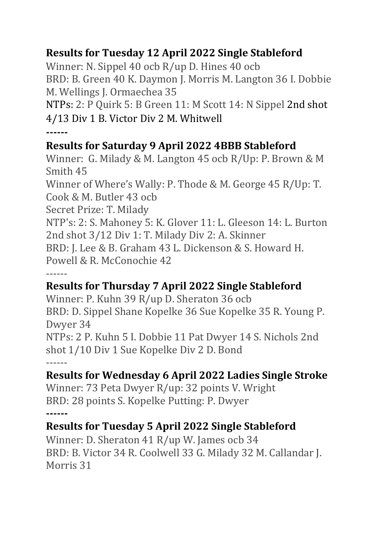## **Results for Tuesday 12 April 2022 Single Stableford**

Winner: N. Sippel 40 ocb R/up D. Hines 40 ocb BRD: B. Green 40 K. Daymon J. Morris M. Langton 36 I. Dobbie M. Wellings J. Ormaechea 35

NTPs: 2: P Quirk 5: B Green 11: M Scott 14: N Sippel 2nd shot 4/13 Div 1 B. Victor Div 2 M. Whitwell

**------**

#### **Results for Saturday 9 April 2022 4BBB Stableford**

Winner: G. Milady & M. Langton 45 ocb R/Up: P. Brown & M Smith 45

Winner of Where's Wally: P. Thode & M. George 45 R/Up: T. Cook & M. Butler 43 ocb

Secret Prize: T. Milady

NTP's: 2: S. Mahoney 5: K. Glover 11: L. Gleeson 14: L. Burton 2nd shot 3/12 Div 1: T. Milady Div 2: A. Skinner

BRD: J. Lee & B. Graham 43 L. Dickenson & S. Howard H.

Powell & R. McConochie 42

------

# **Results for Thursday 7 April 2022 Single Stableford**

Winner: P. Kuhn 39 R/up D. Sheraton 36 ocb BRD: D. Sippel Shane Kopelke 36 Sue Kopelke 35 R. Young P. Dwyer 34

NTPs: 2 P. Kuhn 5 I. Dobbie 11 Pat Dwyer 14 S. Nichols 2nd shot 1/10 Div 1 Sue Kopelke Div 2 D. Bond ------

## **Results for Wednesday 6 April 2022 Ladies Single Stroke**

Winner: 73 Peta Dwyer R/up: 32 points V. Wright BRD: 28 points S. Kopelke Putting: P. Dwyer **------**

# **Results for Tuesday 5 April 2022 Single Stableford**

Winner: D. Sheraton 41 R/up W. James ocb 34 BRD: B. Victor 34 R. Coolwell 33 G. Milady 32 M. Callandar J. Morris 31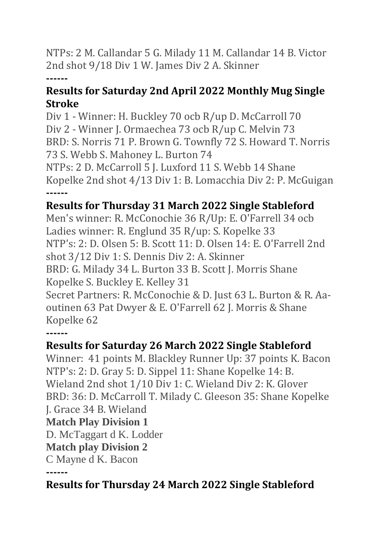NTPs: 2 M. Callandar 5 G. Milady 11 M. Callandar 14 B. Victor 2nd shot 9/18 Div 1 W. James Div 2 A. Skinner

#### **------**

#### **Results for Saturday 2nd April 2022 Monthly Mug Single Stroke**

Div 1 - Winner: H. Buckley 70 ocb R/up D. McCarroll 70 Div 2 - Winner J. Ormaechea 73 ocb R/up C. Melvin 73 BRD: S. Norris 71 P. Brown G. Townfly 72 S. Howard T. Norris 73 S. Webb S. Mahoney L. Burton 74 NTPs: 2 D. McCarroll 5 J. Luxford 11 S. Webb 14 Shane

Kopelke 2nd shot 4/13 Div 1: B. Lomacchia Div 2: P. McGuigan **------**

#### **Results for Thursday 31 March 2022 Single Stableford**

Men's winner: R. McConochie 36 R/Up: E. O'Farrell 34 ocb Ladies winner: R. Englund 35 R/up: S. Kopelke 33 NTP's: 2: D. Olsen 5: B. Scott 11: D. Olsen 14: E. O'Farrell 2nd shot 3/12 Div 1: S. Dennis Div 2: A. Skinner BRD: G. Milady 34 L. Burton 33 B. Scott J. Morris Shane Kopelke S. Buckley E. Kelley 31 Secret Partners: R. McConochie & D. Just 63 L. Burton & R. Aaoutinen 63 Pat Dwyer & E. O'Farrell 62 J. Morris & Shane Kopelke 62

**------**

## **Results for Saturday 26 March 2022 Single Stableford**

Winner: 41 points M. Blackley Runner Up: 37 points K. Bacon NTP's: 2: D. Gray 5: D. Sippel 11: Shane Kopelke 14: B. Wieland 2nd shot 1/10 Div 1: C. Wieland Div 2: K. Glover BRD: 36: D. McCarroll T. Milady C. Gleeson 35: Shane Kopelke J. Grace 34 B. Wieland **Match Play Division 1** D. McTaggart d K. Lodder

#### **Match play Division 2**

C Mayne d K. Bacon

**------**

# **Results for Thursday 24 March 2022 Single Stableford**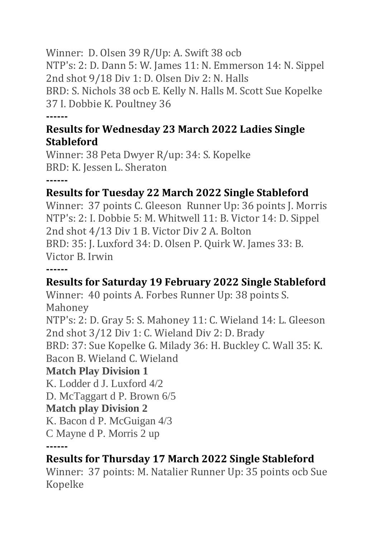Winner: D. Olsen 39 R/Up: A. Swift 38 ocb NTP's: 2: D. Dann 5: W. James 11: N. Emmerson 14: N. Sippel 2nd shot 9/18 Div 1: D. Olsen Div 2: N. Halls BRD: S. Nichols 38 ocb E. Kelly N. Halls M. Scott Sue Kopelke 37 I. Dobbie K. Poultney 36 **------**

#### **Results for Wednesday 23 March 2022 Ladies Single Stableford**

Winner: 38 Peta Dwyer R/up: 34: S. Kopelke BRD: K. Jessen L. Sheraton

**------**

#### **Results for Tuesday 22 March 2022 Single Stableford**

Winner: 37 points C. Gleeson Runner Up: 36 points J. Morris NTP's: 2: I. Dobbie 5: M. Whitwell 11: B. Victor 14: D. Sippel 2nd shot 4/13 Div 1 B. Victor Div 2 A. Bolton BRD: 35: J. Luxford 34: D. Olsen P. Quirk W. James 33: B. Victor B. Irwin

**------**

#### **Results for Saturday 19 February 2022 Single Stableford**

Winner: 40 points A. Forbes Runner Up: 38 points S. Mahoney

NTP's: 2: D. Gray 5: S. Mahoney 11: C. Wieland 14: L. Gleeson 2nd shot 3/12 Div 1: C. Wieland Div 2: D. Brady

BRD: 37: Sue Kopelke G. Milady 36: H. Buckley C. Wall 35: K. Bacon B. Wieland C. Wieland

#### **Match Play Division 1**

K. Lodder d J. Luxford 4/2

D. McTaggart d P. Brown 6/5

#### **Match play Division 2**

K. Bacon d P. McGuigan 4/3

C Mayne d P. Morris 2 up

**------**

## **Results for Thursday 17 March 2022 Single Stableford**

Winner: 37 points: M. Natalier Runner Up: 35 points ocb Sue Kopelke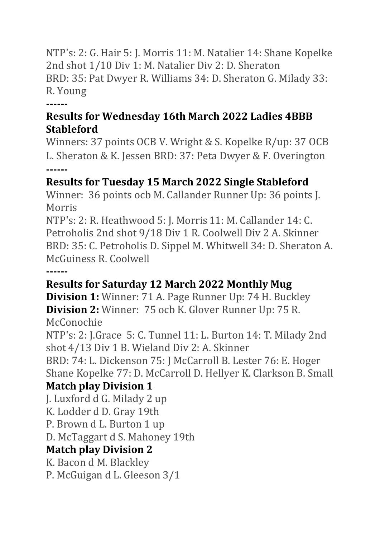NTP's: 2: G. Hair 5: J. Morris 11: M. Natalier 14: Shane Kopelke 2nd shot 1/10 Div 1: M. Natalier Div 2: D. Sheraton BRD: 35: Pat Dwyer R. Williams 34: D. Sheraton G. Milady 33: R. Young

**------**

#### **Results for Wednesday 16th March 2022 Ladies 4BBB Stableford**

Winners: 37 points OCB V. Wright & S. Kopelke R/up: 37 OCB L. Sheraton & K. Jessen BRD: 37: Peta Dwyer & F. Overington **------**

## **Results for Tuesday 15 March 2022 Single Stableford**

Winner: 36 points ocb M. Callander Runner Up: 36 points J. Morris

NTP's: 2: R. Heathwood 5: J. Morris 11: M. Callander 14: C. Petroholis 2nd shot 9/18 Div 1 R. Coolwell Div 2 A. Skinner BRD: 35: C. Petroholis D. Sippel M. Whitwell 34: D. Sheraton A. McGuiness R. Coolwell

**------**

# **Results for Saturday 12 March 2022 Monthly Mug**

**Division 1:** Winner: 71 A. Page Runner Up: 74 H. Buckley **Division 2:** Winner: 75 ocb K. Glover Runner Up: 75 R. McConochie

NTP's: 2: J.Grace 5: C. Tunnel 11: L. Burton 14: T. Milady 2nd shot 4/13 Div 1 B. Wieland Div 2: A. Skinner

BRD: 74: L. Dickenson 75: J McCarroll B. Lester 76: E. Hoger Shane Kopelke 77: D. McCarroll D. Hellyer K. Clarkson B. Small

# **Match play Division 1**

J. Luxford d G. Milady 2 up K. Lodder d D. Gray 19th P. Brown d L. Burton 1 up D. McTaggart d S. Mahoney 19th **Match play Division 2** K. Bacon d M. Blackley P. McGuigan d L. Gleeson 3/1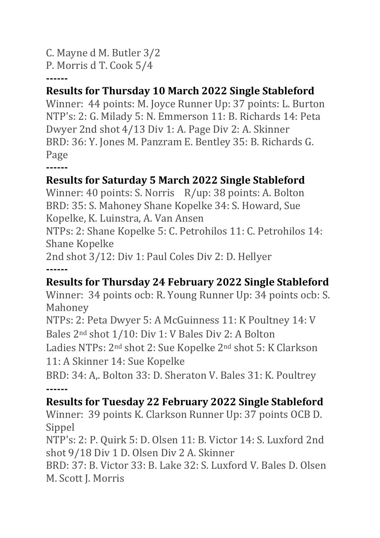C. Mayne d M. Butler 3/2

P. Morris d T. Cook 5/4

**------**

## **Results for Thursday 10 March 2022 Single Stableford**

Winner: 44 points: M. Joyce Runner Up: 37 points: L. Burton NTP's: 2: G. Milady 5: N. Emmerson 11: B. Richards 14: Peta Dwyer 2nd shot 4/13 Div 1: A. Page Div 2: A. Skinner BRD: 36: Y. Jones M. Panzram E. Bentley 35: B. Richards G. Page

**------**

# **Results for Saturday 5 March 2022 Single Stableford**

Winner: 40 points: S. Norris R/up: 38 points: A. Bolton BRD: 35: S. Mahoney Shane Kopelke 34: S. Howard, Sue Kopelke, K. Luinstra, A. Van Ansen

NTPs: 2: Shane Kopelke 5: C. Petrohilos 11: C. Petrohilos 14: Shane Kopelke

2nd shot 3/12: Div 1: Paul Coles Div 2: D. Hellyer **------**

# **Results for Thursday 24 February 2022 Single Stableford**

Winner: 34 points ocb: R. Young Runner Up: 34 points ocb: S. Mahoney

NTPs: 2: Peta Dwyer 5: A McGuinness 11: K Poultney 14: V Bales 2nd shot 1/10: Div 1: V Bales Div 2: A Bolton

Ladies NTPs: 2nd shot 2: Sue Kopelke 2nd shot 5: K Clarkson 11: A Skinner 14: Sue Kopelke

BRD: 34: A,. Bolton 33: D. Sheraton V. Bales 31: K. Poultrey **------**

## **Results for Tuesday 22 February 2022 Single Stableford**

Winner: 39 points K. Clarkson Runner Up: 37 points OCB D. Sippel

NTP's: 2: P. Quirk 5: D. Olsen 11: B. Victor 14: S. Luxford 2nd shot 9/18 Div 1 D. Olsen Div 2 A. Skinner

BRD: 37: B. Victor 33: B. Lake 32: S. Luxford V. Bales D. Olsen M. Scott J. Morris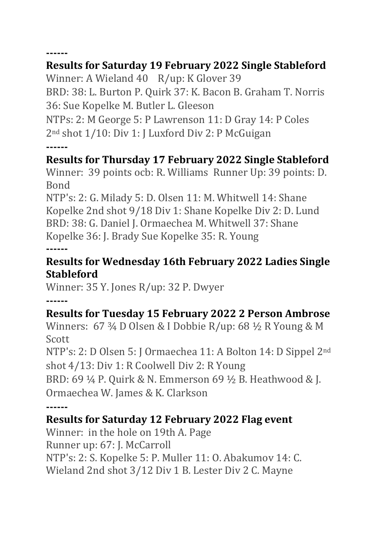**------**

## **Results for Saturday 19 February 2022 Single Stableford**

Winner: A Wieland 40 R/up: K Glover 39 BRD: 38: L. Burton P. Quirk 37: K. Bacon B. Graham T. Norris 36: Sue Kopelke M. Butler L. Gleeson

NTPs: 2: M George 5: P Lawrenson 11: D Gray 14: P Coles 2nd shot 1/10: Div 1: J Luxford Div 2: P McGuigan **------**

## **Results for Thursday 17 February 2022 Single Stableford**

Winner: 39 points ocb: R. Williams Runner Up: 39 points: D. Bond

NTP's: 2: G. Milady 5: D. Olsen 11: M. Whitwell 14: Shane Kopelke 2nd shot 9/18 Div 1: Shane Kopelke Div 2: D. Lund BRD: 38: G. Daniel J. Ormaechea M. Whitwell 37: Shane Kopelke 36: J. Brady Sue Kopelke 35: R. Young **------**

#### **Results for Wednesday 16th February 2022 Ladies Single Stableford**

Winner: 35 Y. Jones R/up: 32 P. Dwyer

**------**

# **Results for Tuesday 15 February 2022 2 Person Ambrose**

Winners: 67 ¾ D Olsen & I Dobbie R/up: 68 ½ R Young & M Scott

NTP's: 2: D Olsen 5: J Ormaechea 11: A Bolton 14: D Sippel 2nd shot 4/13: Div 1: R Coolwell Div 2: R Young

BRD: 69 ¼ P. Quirk & N. Emmerson 69 ½ B. Heathwood & J. Ormaechea W. James & K. Clarkson

**------**

## **Results for Saturday 12 February 2022 Flag event**

Winner: in the hole on 19th A. Page Runner up: 67: J. McCarroll NTP's: 2: S. Kopelke 5: P. Muller 11: O. Abakumov 14: C. Wieland 2nd shot 3/12 Div 1 B. Lester Div 2 C. Mayne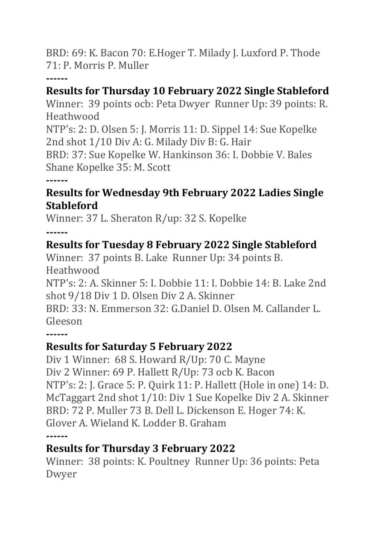BRD: 69: K. Bacon 70: E.Hoger T. Milady J. Luxford P. Thode 71: P. Morris P. Muller

#### **------**

#### **Results for Thursday 10 February 2022 Single Stableford**

Winner: 39 points ocb: Peta Dwyer Runner Up: 39 points: R. Heathwood

NTP's: 2: D. Olsen 5: J. Morris 11: D. Sippel 14: Sue Kopelke 2nd shot 1/10 Div A: G. Milady Div B: G. Hair

BRD: 37: Sue Kopelke W. Hankinson 36: I. Dobbie V. Bales Shane Kopelke 35: M. Scott

**------**

#### **Results for Wednesday 9th February 2022 Ladies Single Stableford**

Winner: 37 L. Sheraton R/up: 32 S. Kopelke

**------**

## **Results for Tuesday 8 February 2022 Single Stableford**

Winner: 37 points B. Lake Runner Up: 34 points B. **Heathwood** 

NTP's: 2: A. Skinner 5: I. Dobbie 11: I. Dobbie 14: B. Lake 2nd shot 9/18 Div 1 D. Olsen Div 2 A. Skinner

BRD: 33: N. Emmerson 32: G.Daniel D. Olsen M. Callander L. Gleeson

**------**

# **Results for Saturday 5 February 2022**

Div 1 Winner: 68 S. Howard R/Up: 70 C. Mayne Div 2 Winner: 69 P. Hallett R/Up: 73 ocb K. Bacon NTP's: 2: J. Grace 5: P. Quirk 11: P. Hallett (Hole in one) 14: D. McTaggart 2nd shot 1/10: Div 1 Sue Kopelke Div 2 A. Skinner BRD: 72 P. Muller 73 B. Dell L. Dickenson E. Hoger 74: K. Glover A. Wieland K. Lodder B. Graham **------**

## **Results for Thursday 3 February 2022**

Winner: 38 points: K. Poultney Runner Up: 36 points: Peta Dwyer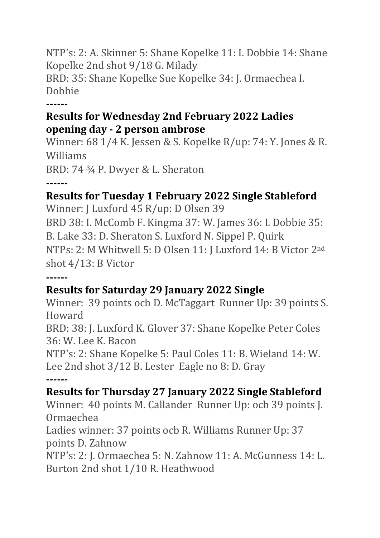NTP's: 2: A. Skinner 5: Shane Kopelke 11: I. Dobbie 14: Shane Kopelke 2nd shot 9/18 G. Milady BRD: 35: Shane Kopelke Sue Kopelke 34: J. Ormaechea I. Dobbie

**------**

#### **Results for Wednesday 2nd February 2022 Ladies opening day - 2 person ambrose**

Winner: 68 1/4 K. Jessen & S. Kopelke R/up: 74: Y. Jones & R. Williams BRD: 74 ¾ P. Dwyer & L. Sheraton

**------**

## **Results for Tuesday 1 February 2022 Single Stableford**

Winner: J Luxford 45 R/up: D Olsen 39 BRD 38: I. McComb F. Kingma 37: W. James 36: I. Dobbie 35: B. Lake 33: D. Sheraton S. Luxford N. Sippel P. Quirk NTPs: 2: M Whitwell 5: D Olsen 11: J Luxford 14: B Victor 2nd shot 4/13: B Victor

**------**

## **Results for Saturday 29 January 2022 Single**

Winner: 39 points ocb D. McTaggart Runner Up: 39 points S. Howard

BRD: 38: J. Luxford K. Glover 37: Shane Kopelke Peter Coles 36: W. Lee K. Bacon

NTP's: 2: Shane Kopelke 5: Paul Coles 11: B. Wieland 14: W. Lee 2nd shot 3/12 B. Lester Eagle no 8: D. Gray **------**

#### **Results for Thursday 27 January 2022 Single Stableford**

Winner: 40 points M. Callander Runner Up: ocb 39 points J. Ormaechea

Ladies winner: 37 points ocb R. Williams Runner Up: 37 points D. Zahnow

NTP's: 2: J. Ormaechea 5: N. Zahnow 11: A. McGunness 14: L. Burton 2nd shot 1/10 R. Heathwood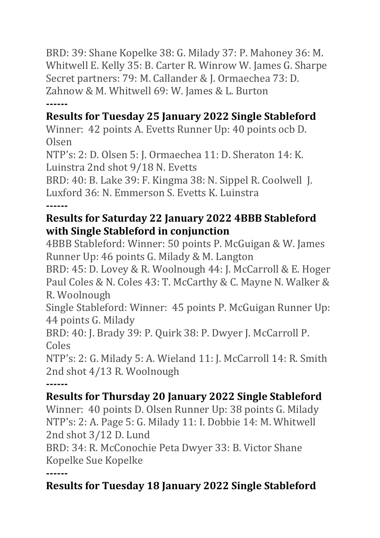BRD: 39: Shane Kopelke 38: G. Milady 37: P. Mahoney 36: M. Whitwell E. Kelly 35: B. Carter R. Winrow W. James G. Sharpe Secret partners: 79: M. Callander & J. Ormaechea 73: D. Zahnow & M. Whitwell 69: W. James & L. Burton **------**

# **Results for Tuesday 25 January 2022 Single Stableford**

Winner: 42 points A. Evetts Runner Up: 40 points ocb D. Olsen

NTP's: 2: D. Olsen 5: J. Ormaechea 11: D. Sheraton 14: K. Luinstra 2nd shot 9/18 N. Evetts

BRD: 40: B. Lake 39: F. Kingma 38: N. Sippel R. Coolwell J. Luxford 36: N. Emmerson S. Evetts K. Luinstra **------**

#### **Results for Saturday 22 January 2022 4BBB Stableford with Single Stableford in conjunction**

4BBB Stableford: Winner: 50 points P. McGuigan & W. James Runner Up: 46 points G. Milady & M. Langton

BRD: 45: D. Lovey & R. Woolnough 44: J. McCarroll & E. Hoger Paul Coles & N. Coles 43: T. McCarthy & C. Mayne N. Walker & R. Woolnough

Single Stableford: Winner: 45 points P. McGuigan Runner Up: 44 points G. Milady

BRD: 40: J. Brady 39: P. Quirk 38: P. Dwyer J. McCarroll P. Coles

NTP's: 2: G. Milady 5: A. Wieland 11: J. McCarroll 14: R. Smith 2nd shot 4/13 R. Woolnough

**------**

## **Results for Thursday 20 January 2022 Single Stableford**

Winner: 40 points D. Olsen Runner Up: 38 points G. Milady NTP's: 2: A. Page 5: G. Milady 11: I. Dobbie 14: M. Whitwell 2nd shot 3/12 D. Lund

BRD: 34: R. McConochie Peta Dwyer 33: B. Victor Shane Kopelke Sue Kopelke

**------**

# **Results for Tuesday 18 January 2022 Single Stableford**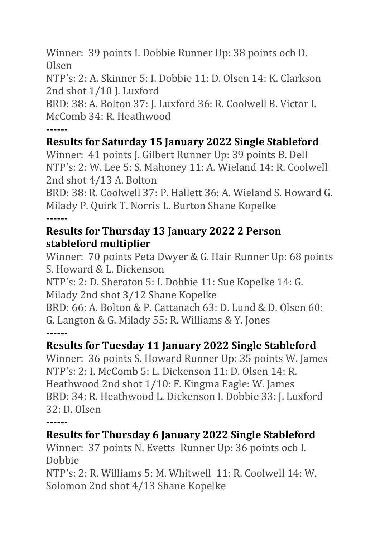Winner: 39 points I. Dobbie Runner Up: 38 points ocb D. Olsen

NTP's: 2: A. Skinner 5: I. Dobbie 11: D. Olsen 14: K. Clarkson 2nd shot 1/10 J. Luxford

BRD: 38: A. Bolton 37: J. Luxford 36: R. Coolwell B. Victor I. McComb 34: R. Heathwood

**------**

# **Results for Saturday 15 January 2022 Single Stableford**

Winner: 41 points J. Gilbert Runner Up: 39 points B. Dell NTP's: 2: W. Lee 5: S. Mahoney 11: A. Wieland 14: R. Coolwell 2nd shot 4/13 A. Bolton

BRD: 38: R. Coolwell 37: P. Hallett 36: A. Wieland S. Howard G. Milady P. Quirk T. Norris L. Burton Shane Kopelke **------**

#### **Results for Thursday 13 January 2022 2 Person stableford multiplier**

Winner: 70 points Peta Dwyer & G. Hair Runner Up: 68 points S. Howard & L. Dickenson

NTP's: 2: D. Sheraton 5: I. Dobbie 11: Sue Kopelke 14: G.

Milady 2nd shot 3/12 Shane Kopelke

BRD: 66: A. Bolton & P. Cattanach 63: D. Lund & D. Olsen 60: G. Langton & G. Milady 55: R. Williams & Y. Jones **------**

# **Results for Tuesday 11 January 2022 Single Stableford**

Winner: 36 points S. Howard Runner Up: 35 points W. James NTP's: 2: I. McComb 5: L. Dickenson 11: D. Olsen 14: R. Heathwood 2nd shot 1/10: F. Kingma Eagle: W. James BRD: 34: R. Heathwood L. Dickenson I. Dobbie 33: J. Luxford 32: D. Olsen

**------**

## **Results for Thursday 6 January 2022 Single Stableford**

Winner: 37 points N. Evetts Runner Up: 36 points ocb I. Dobbie

NTP's: 2: R. Williams 5: M. Whitwell 11: R. Coolwell 14: W. Solomon 2nd shot 4/13 Shane Kopelke